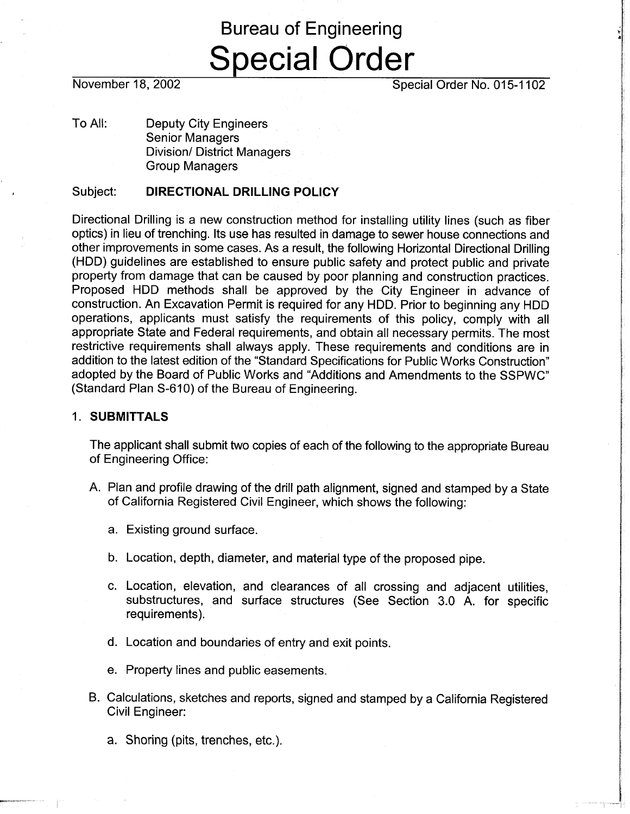# Bureau of Engineering Special Order

November 18, 2002 **Special Order No. 015-1102** 

To All: Deputy City Engineers Senior Managers Division/ District Managers Group Managers

## Subject: **DIRECTIONAL DRILLING POLICY**

Directional Drilling is a new construction method for installing utility lines (such as fiber optics) in lieu of trenching. Its use has resulted in damage to sewer house connections and other improvements in some cases. As a result, the following Horizontal Directional Drilling (HDD) guidelines are established to ensure public safety and protect public and private property from damage that can be caused by poor planning and construction practices. Proposed HDD methods shall be approved by the City Engineer in advance of construction. An Excavation Permit is required for any HDD. Prior to beginning any HDD operations, applicants must satisfy the requirements of this policy, comply with all appropriate State and Federal requirements, and obtain all necessary permits. The most restrictive requirements shall always apply. These requirements and conditions are in addition to the latest edition of the "Standard Specifications for Public Works Construction" adopted by the Board of Public Works and "Additions and Amendments to the SSPWC" (Standard Plan S-610) of the Bureau of Engineering.

#### 1. **SUBMITTALS**

The applicant shall submit two copies of each of the following to the appropriate Bureau of Engineering Office:

- A. Plan and profile drawing of the drill path alignment, signed and stamped by a State of California Registered Civil Engineer, which shows the following:
	- a. Existing ground surface.
	- b. Location, depth, diameter, and material type of the proposed pipe.
	- c. Location, elevation, and clearances of all crossing and adjacent utilities, substructures, and surface structures (See Section 3.0 A. for specific requirements).
	- d. Location and boundaries of entry and exit points.
	- e. Property lines and public easements.
- B. Calculations, sketches and reports, signed and stamped by a California Registered Civil Engineer:
	- a. Shoring (pits, trenches, etc.).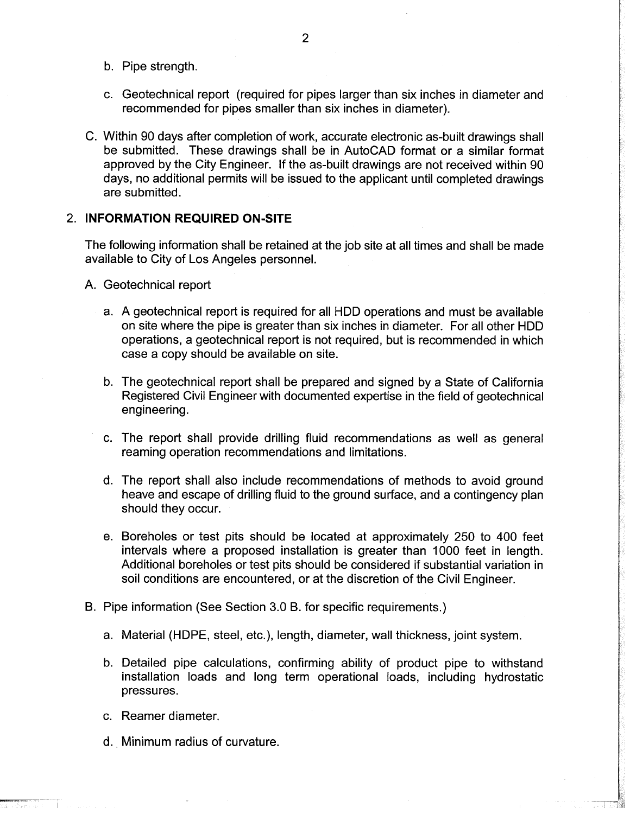- b. Pipe strength.
- c. Geotechnical report (required for pipes larger than six inches in diameter and recommended for pipes smaller than six inches in diameter).
- C. Within 90 days after completion of work, accurate electronic as-built drawings shall be submitted. These drawings shall be in AutoCAD format or a similar format approved by the City Engineer. If the as-built drawings are not received within 90 days, no additional permits will be issued to the applicant until completed drawings are submitted.

### 2. **INFORMATION REQUIRED ON-SITE**

The following information shall be retained at the job site at all times and shall be made available to City of Los Angeles personnel.

A. Geotechnical report

- a. A geotechnical report is required for all HDD operations and must be available on site where the pipe is greater than six inches in diameter. For all other HDD operations, a geotechnical report is not required, but is recommended in which case a copy should be available on site.
- b. The geotechnical report shall be prepared and signed by a State of California Registered Civil Engineer with documented expertise in the field of geotechnical engineering.
- c. The report shall provide drilling fluid recommendations as well as general reaming operation recommendations and limitations.
- d. The report shall also include recommendations of methods to avoid ground heave and escape of drilling fluid to the ground surface, and a contingency plan should they occur.
- e. Boreholes or test pits should be located at approximately 250 to 400 feet intervals where a proposed installation is greater than 1000 feet in length. Additional boreholes or test pits should be considered if substantial variation in soil conditions are encountered, or at the discretion of the Civil Engineer.
- B. Pipe information (See Section 3.0 B. for specific requirements.)
	- a. Material (HDPE, steel, etc.), length, diameter, wall thickness, joint system.
	- b. Detailed pipe calculations, confirming ability of product pipe to withstand installation loads and long term operational loads, including hydrostatic pressures.
	- c. Reamer diameter.
	- d., Minimum radius of curvature.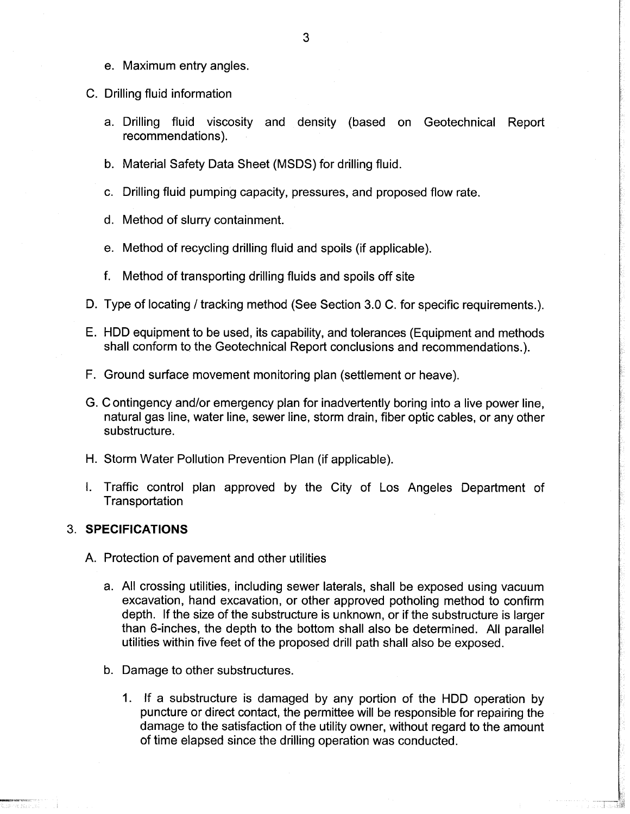- e. Maximum entry angles.
- C. Drilling fluid information
	- a. Drilling fluid viscosity and density (based on Geotechnical Report recommendations).
	- b. Material Safety Data Sheet (MSDS) for drilling fluid.
	- c. Drilling fluid pumping capacity, pressures, and proposed flow rate.
	- d. Method of slurry containment.
	- e. Method of recycling drilling fluid and spoils (if applicable).
	- f. Method of transporting drilling fluids and spoils off site
- D. Type of locating / tracking method (See Section 3.0 C. for specific requirements.).
- E. HDD equipment to be used, its capability, and tolerances (Equipment and methods shall conform to the Geotechnical Report conclusions and recommendations.).
- F. Ground surface movement monitoring plan (settlement or heave).
- G. Contingency and/or emergency plan for inadvertently boring into a live power line, natural gas line, water line, sewer line, storm drain, fiber optic cables, or any other substructure.
- H. Storm Water Pollution Prevention Plan (if applicable).
- I. Traffic control plan approved by the City of Los Angeles Department of **Transportation**

#### **3. SPECIFICATIONS**

- A. Protection of pavement and other utilities
	- a. All crossing utilities, including sewer laterals, shall be exposed using vacuum excavation, hand excavation, or other approved potholing method to confirm depth. If the size of the substructure is unknown, or if the substructure is larger than 6-inches, the depth to the bottom shall also be determined. All parallel utilities within five feet of the proposed drill path shall also be exposed.
	- b. Damage to other substructures.
		- 1. If a substructure is damaged by any portion of the HDD operation by puncture or direct contact, the permittee will be responsible for repairing the damage to the satisfaction of the utility owner, without regard to the amount of time elapsed since the drilling operation was conducted.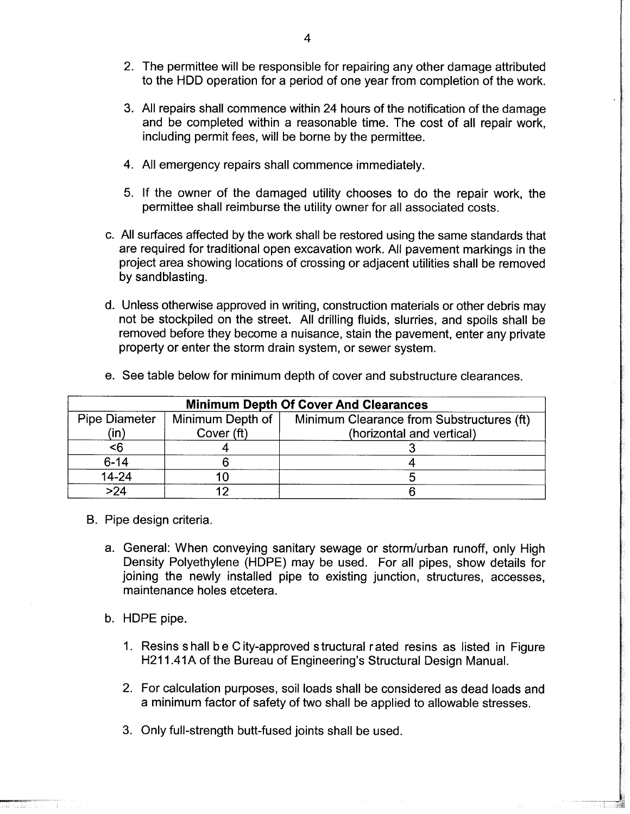- 2. The permittee will be responsible for repairing any other damage attributed to the HDD operation for a period of one year from completion of the work.
- 3. All repairs shall commence within 24 hours of the notification of the damage and be completed within a reasonable time. The cost of all repair work, including permit fees, will be borne by the permittee.
- 4. All emergency repairs shall commence immediately.
- 5. If the owner of the damaged utility chooses to do the repair work, the permittee shall reimburse the utility owner for all associated costs.
- c. All surfaces affected by the work shall be restored using the same standards that are required for traditional open excavation work. All pavement markings in the project area showing locations of crossing or adjacent utilities shall be removed by sandblasting.
- d. Unless otherwise approved in writing, construction materials or other debris may not be stockpiled on the street. All drilling fluids, slurries, and spoils shall be removed before they become a nuisance, stain the pavement, enter any private property or enter the storm drain system, or sewer system.

| <b>Minimum Depth Of Cover And Clearances</b> |                                |                                                                        |
|----------------------------------------------|--------------------------------|------------------------------------------------------------------------|
| <b>Pipe Diameter</b><br>(in)                 | Minimum Depth of<br>Cover (ft) | Minimum Clearance from Substructures (ft)<br>(horizontal and vertical) |
| $6$                                          |                                |                                                                        |
| $6 - 14$                                     |                                |                                                                        |
| 14-24                                        |                                |                                                                        |
| >24                                          | 10                             |                                                                        |

e. See table below for minimum depth of cover and substructure clearances.

- B. Pipe design criteria.
	- a. General: When conveying sanitary sewage or storm/urban runoff, only High Density Polyethylene (HDPE) may be used. For all pipes, show details for joining the newly installed pipe to existing junction, structures, accesses, maintenance holes etcetera.
	- b. HDPE pipe.
		- 1. Resins s hall b e C ity-approved structural rated resins as listed in Figure H211.41A of the Bureau of Engineering's Structural Design Manual.
		- 2. For calculation purposes, soil loads shall be considered as dead loads and a minimum factor of safety of two shall be applied to allowable stresses.
		- 3. Only full-strength butt-fused joints shall be used.